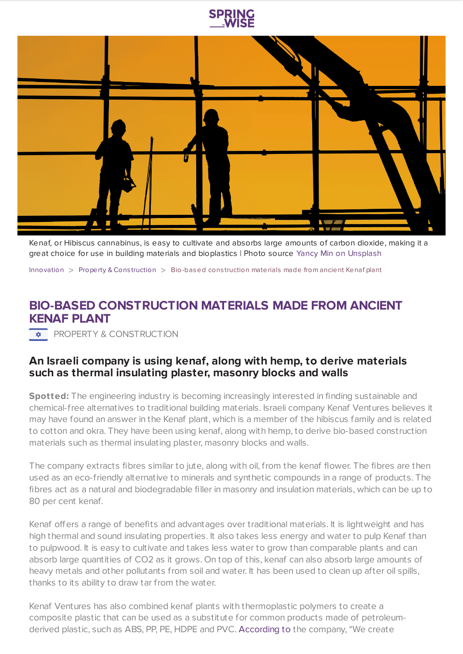



Kenaf, or Hibiscus cannabinus, is easy to cultivate and absorbs large amounts of carbon dioxide, making it a great choice for use in building materials and bioplastics | Photo source Yancy Min on [Unsplash](https://unsplash.com/)

[Innovation](https://www.springwise.com/search?type=innovation)  $>$  [Property](https://www.springwise.com/search?type=innovation§or=property-and-construction) & Construction  $>$  Bio-based construction materials made from ancient Kenaf plant

## **BIO-BASED CONSTRUCTION MATERIALS MADE FROM ANCIENT KENAF PLANT**

**\*** PROPERTY & CONSTRUCTION

## **An Israeli company is using kenaf, along with hemp, to derive materials such as thermal insulating plaster, masonry blocks and walls**

**Spotted:** The engineering industry is becoming increasingly interested in finding sustainable and chemical-free alternatives to traditional building materials. Israeli company Kenaf Ventures believes it may have found an answer in the Kenaf plant, which is a member of the hibiscus family and is related to cotton and okra. They have been using kenaf, along with hemp, to derive bio-based construction materials such as thermal insulating plaster, masonry blocks and walls.

The company extracts fibres similar to jute, along with oil, from the kenaf flower. The fibres are then used as an eco-friendly alternative to minerals and synthetic compounds in a range of products. The fibres act as a natural and biodegradable filler in masonry and insulation materials, which can be up to 80 per cent kenaf.

Kenaf offers a range of benefits and advantages over traditional materials. It is lightweight and has high thermal and sound insulating properties. It also takes less energy and water to pulp Kenaf than to pulpwood. It is easy to cultivate and takes less water to grow than comparable plants and can absorb large quantities of CO2 as it grows. On top of this, kenaf can also absorb large amounts of heavy metals and other pollutants from soil and water. It has been used to clean up after oil spills, thanks to its ability to draw tar from the water.

Kenaf Ventures has also combined kenaf plants with thermoplastic polymers to create a composite plastic that can be used as a substitute for common products made of petroleumderived plastic, such as ABS, PP, PE, HDPE and PVC. [According](https://me.mashable.com/tech/13403/israeli-firm-extracts-construction-material-from-flowers-to-ward-off-air-pollution) to the company, "We create